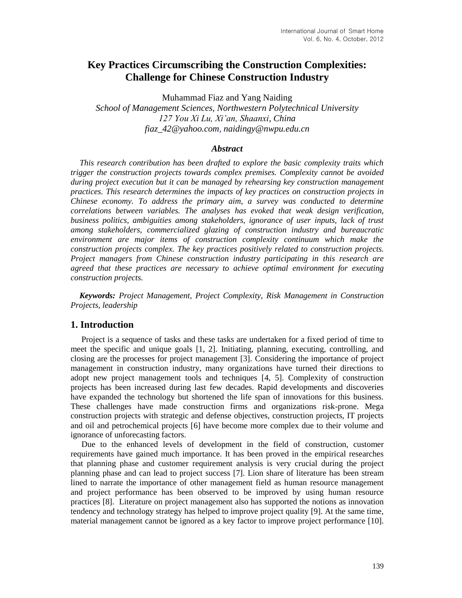# **Key Practices Circumscribing the Construction Complexities: Challenge for Chinese Construction Industry**

Muhammad Fiaz and Yang Naiding *School of Management Sciences, Northwestern Polytechnical University 127 You Xi Lu, Xi'an, Shaanxi, China fiaz\_42@yahoo.com, naidingy@nwpu.edu.cn* 

#### *Abstract*

*This research contribution has been drafted to explore the basic complexity traits which trigger the construction projects towards complex premises. Complexity cannot be avoided during project execution but it can be managed by rehearsing key construction management practices. This research determines the impacts of key practices on construction projects in Chinese economy. To address the primary aim, a survey was conducted to determine correlations between variables. The analyses has evoked that weak design verification, business politics, ambiguities among stakeholders, ignorance of user inputs, lack of trust among stakeholders, [commercialized glazing](http://www.dowcorning.com/content/construction/commglazpro/) of construction industry and bureaucratic environment are major items of construction complexity continuum which make the construction projects complex. The key practices positively related to construction projects. Project managers from Chinese construction industry participating in this research are agreed that these practices are necessary to achieve optimal environment for executing construction projects.*

*Keywords: Project Management, Project Complexity, Risk Management in Construction Projects, leadership*

#### **1. Introduction**

Project is a sequence of tasks and these tasks are undertaken for a fixed period of time to meet the specific and unique goals [1, 2]. Initiating, planning, executing, controlling, and closing are the processes for project management [3]. Considering the importance of project management in construction industry, many organizations have turned their directions to adopt new project management tools and techniques [4, 5]. Complexity of construction projects has been increased during last few decades. Rapid developments and discoveries have expanded the technology but shortened the life span of innovations for this business. These challenges have made construction firms and organizations risk-prone. Mega construction projects with strategic and defense objectives, construction projects, IT projects and oil and petrochemical projects [6] have become more complex due to their volume and ignorance of unforecasting factors.

Due to the enhanced levels of development in the field of construction, customer requirements have gained much importance. It has been proved in the empirical researches that planning phase and customer requirement analysis is very crucial during the project planning phase and can lead to project success [7]. Lion share of literature has been stream lined to narrate the importance of other management field as human resource management and project performance has been observed to be improved by using human resource practices [8]. Literature on project management also has supported the notions as innovation tendency and technology strategy has helped to improve project quality [9]. At the same time, material management cannot be ignored as a key factor to improve project performance [10].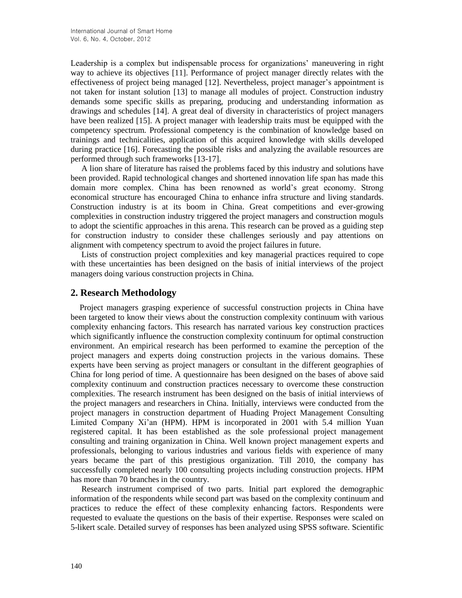Leadership is a complex but indispensable process for organizations' maneuvering in right way to achieve its objectives [11]. Performance of project manager directly relates with the effectiveness of project being managed [12]. Nevertheless, project manager's appointment is not taken for instant solution [13] to manage all modules of project. Construction industry demands some specific skills as preparing, producing and understanding information as drawings and schedules [14]. A great deal of diversity in characteristics of project managers have been realized [15]. A project manager with leadership traits must be equipped with the competency spectrum. Professional competency is the combination of knowledge based on trainings and technicalities, application of this acquired knowledge with skills developed during practice [16]. Forecasting the possible risks and analyzing the available resources are performed through such frameworks [13-17].

A lion share of literature has raised the problems faced by this industry and solutions have been provided. Rapid technological changes and shortened innovation life span has made this domain more complex. China has been renowned as world's great economy. Strong economical structure has encouraged China to enhance infra structure and living standards. Construction industry is at its boom in China. Great competitions and ever-growing complexities in construction industry triggered the project managers and construction moguls to adopt the scientific approaches in this arena. This research can be proved as a guiding step for construction industry to consider these challenges seriously and pay attentions on alignment with competency spectrum to avoid the project failures in future.

Lists of construction project complexities and key managerial practices required to cope with these uncertainties has been designed on the basis of initial interviews of the project managers doing various construction projects in China.

## **2. Research Methodology**

Project managers grasping experience of successful construction projects in China have been targeted to know their views about the construction complexity continuum with various complexity enhancing factors. This research has narrated various key construction practices which significantly influence the construction complexity continuum for optimal construction environment. An empirical research has been performed to examine the perception of the project managers and experts doing construction projects in the various domains. These experts have been serving as project managers or consultant in the different geographies of China for long period of time. A questionnaire has been designed on the bases of above said complexity continuum and construction practices necessary to overcome these construction complexities. The research instrument has been designed on the basis of initial interviews of the project managers and researchers in China. Initially, interviews were conducted from the project managers in construction department of Huading Project Management Consulting Limited Company Xi'an (HPM). HPM is incorporated in 2001 with 5.4 million Yuan registered capital. It has been established as the sole professional project management consulting and training organization in China. Well known project management experts and professionals, belonging to various industries and various fields with experience of many years became the part of this prestigious organization. Till 2010, the company has successfully completed nearly 100 consulting projects including construction projects. HPM has more than 70 branches in the country.

Research instrument comprised of two parts. Initial part explored the demographic information of the respondents while second part was based on the complexity continuum and practices to reduce the effect of these complexity enhancing factors. Respondents were requested to evaluate the questions on the basis of their expertise. Responses were scaled on 5-likert scale. Detailed survey of responses has been analyzed using SPSS software. Scientific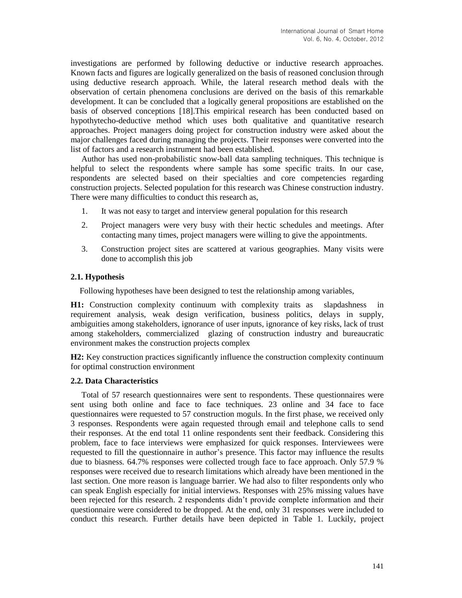investigations are performed by following deductive or inductive research approaches. Known facts and figures are logically generalized on the basis of reasoned conclusion through using deductive research approach. While, the lateral research method deals with the observation of certain phenomena conclusions are derived on the basis of this remarkable development. It can be concluded that a logically general propositions are established on the basis of observed conceptions [18].This empirical research has been conducted based on hypothytecho-deductive method which uses both qualitative and quantitative research approaches. Project managers doing project for construction industry were asked about the major challenges faced during managing the projects. Their responses were converted into the list of factors and a research instrument had been established.

Author has used non-probabilistic snow-ball data sampling techniques. This technique is helpful to select the respondents where sample has some specific traits. In our case, respondents are selected based on their specialties and core competencies regarding construction projects. Selected population for this research was Chinese construction industry. There were many difficulties to conduct this research as,

- 1. It was not easy to target and interview general population for this research
- 2. Project managers were very busy with their hectic schedules and meetings. After contacting many times, project managers were willing to give the appointments.
- 3. Construction project sites are scattered at various geographies. Many visits were done to accomplish this job

### **2.1. Hypothesis**

Following hypotheses have been designed to test the relationship among variables,

**H1:** Construction complexity continuum with complexity traits as slapdashness requirement analysis, weak design verification, business politics, delays in supply, ambiguities among stakeholders, ignorance of user inputs, ignorance of key risks, lack of trust among stakeholders, [commercialized glazing](http://www.dowcorning.com/content/construction/commglazpro/) of construction industry and bureaucratic environment makes the construction projects complex

**H2:** Key construction practices significantly influence the construction complexity continuum for optimal construction environment

#### **2.2. Data Characteristics**

Total of 57 research questionnaires were sent to respondents. These questionnaires were sent using both online and face to face techniques. 23 online and 34 face to face questionnaires were requested to 57 construction moguls. In the first phase, we received only 3 responses. Respondents were again requested through email and telephone calls to send their responses. At the end total 11 online respondents sent their feedback. Considering this problem, face to face interviews were emphasized for quick responses. Interviewees were requested to fill the questionnaire in author's presence. This factor may influence the results due to biasness. 64.7% responses were collected trough face to face approach. Only 57.9 % responses were received due to research limitations which already have been mentioned in the last section. One more reason is language barrier. We had also to filter respondents only who can speak English especially for initial interviews. Responses with 25% missing values have been rejected for this research. 2 respondents didn't provide complete information and their questionnaire were considered to be dropped. At the end, only 31 responses were included to conduct this research. Further details have been depicted in Table 1. Luckily, project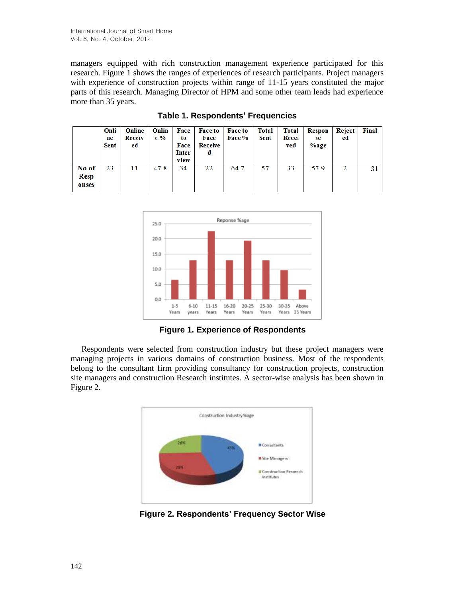managers equipped with rich construction management experience participated for this research. Figure 1 shows the ranges of experiences of research participants. Project managers with experience of construction projects within range of 11-15 years constituted the major parts of this research. Managing Director of HPM and some other team leads had experience more than 35 years.

|                        | Onli<br>ne<br><b>Sent</b> | Online<br>Receiv<br>ed | Onlin<br>$e\%$ | Face<br>to<br>Face<br><b>Inter</b><br>view | <b>Face to</b><br>Face<br>Receive<br>d | <b>Face to</b><br>Face % | <b>Total</b><br>Sent | Total<br>Recei<br>ved | Respon<br>se<br>%age | Reject<br>ed | <b>Final</b>    |
|------------------------|---------------------------|------------------------|----------------|--------------------------------------------|----------------------------------------|--------------------------|----------------------|-----------------------|----------------------|--------------|-----------------|
| No of<br>Resp<br>onses | 23                        | 11                     | 47.8           | 34                                         | 22                                     | 64.7                     | 57                   | 33                    | 57.9                 | 2            | 31 <sup>1</sup> |

**Table 1. Respondents' Frequencies**



**Figure 1. Experience of Respondents**

Respondents were selected from construction industry but these project managers were managing projects in various domains of construction business. Most of the respondents belong to the consultant firm providing consultancy for construction projects, construction site managers and construction Research institutes. A sector-wise analysis has been shown in Figure 2.



**Figure 2. Respondents' Frequency Sector Wise**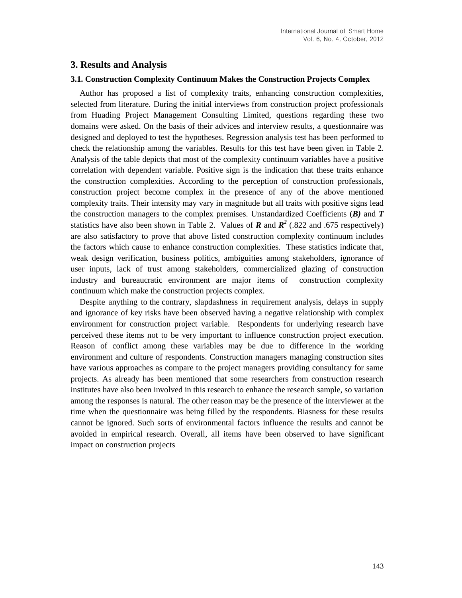# **3. Results and Analysis**

#### **3.1. Construction Complexity Continuum Makes the Construction Projects Complex**

Author has proposed a list of complexity traits, enhancing construction complexities, selected from literature. During the initial interviews from construction project professionals from Huading Project Management Consulting Limited, questions regarding these two domains were asked. On the basis of their advices and interview results, a questionnaire was designed and deployed to test the hypotheses. Regression analysis test has been performed to check the relationship among the variables. Results for this test have been given in Table 2. Analysis of the table depicts that most of the complexity continuum variables have a positive correlation with dependent variable. Positive sign is the indication that these traits enhance the construction complexities. According to the perception of construction professionals, construction project become complex in the presence of any of the above mentioned complexity traits. Their intensity may vary in magnitude but all traits with positive signs lead the construction managers to the complex premises. Unstandardized Coefficients (*B)* and *T* statistics have also been shown in Table 2. Values of  $\bf{R}$  and  $\bf{R}^2$  (.822 and .675 respectively) are also satisfactory to prove that above listed construction complexity continuum includes the factors which cause to enhance construction complexities. These statistics indicate that, weak design verification, business politics, ambiguities among stakeholders, ignorance of user inputs, lack of trust among stakeholders, [commercialized glazing](http://www.dowcorning.com/content/construction/commglazpro/) of construction industry and bureaucratic environment are major items of construction complexity continuum which make the construction projects complex.

Despite anything to the contrary, slapdashness in requirement analysis, delays in supply and ignorance of key risks have been observed having a negative relationship with complex environment for construction project variable. Respondents for underlying research have perceived these items not to be very important to influence construction project execution. Reason of conflict among these variables may be due to difference in the working environment and culture of respondents. Construction managers managing construction sites have various approaches as compare to the project managers providing consultancy for same projects. As already has been mentioned that some researchers from construction research institutes have also been involved in this research to enhance the research sample, so variation among the responses is natural. The other reason may be the presence of the interviewer at the time when the questionnaire was being filled by the respondents. Biasness for these results cannot be ignored. Such sorts of environmental factors influence the results and cannot be avoided in empirical research. Overall, all items have been observed to have significant impact on construction projects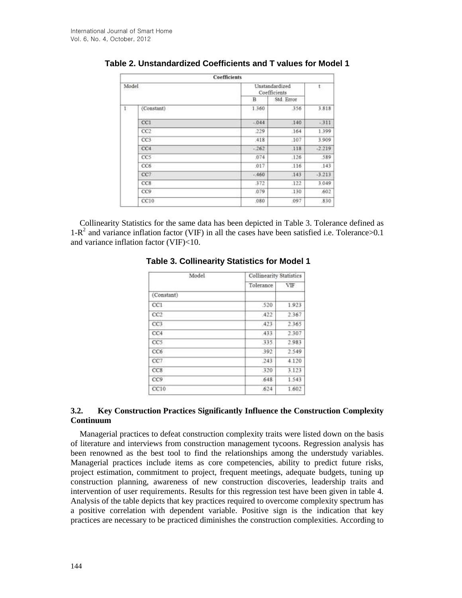|              |                 | <b>Coefficients</b> |                                |          |  |
|--------------|-----------------|---------------------|--------------------------------|----------|--|
| Model        |                 |                     | Unstandardized<br>Coefficients |          |  |
|              |                 | в                   | Std. Error                     |          |  |
| $\mathbf{1}$ | (Constant)      | 1.360               | 356                            | 3.818    |  |
|              | CCI             | $-044$              | 140                            | $-311$   |  |
|              | CC2             | 229                 | 164                            | 1.399    |  |
|              | CC3             | 418                 | .107                           | 3.909    |  |
|              | CC4             | $-262$              | .118                           | $-2.219$ |  |
|              | CCS             | 074                 | .126                           | 589      |  |
|              | CC6             | :017                | .116                           | .143     |  |
|              | CC7             | $-460$              | .143                           | $-3.213$ |  |
|              | CC <sub>8</sub> | 372                 | .122                           | 3.049    |  |
|              | CC9             | .079                | 130                            | .602     |  |
|              | CC10            | .080                | .097                           | 830      |  |

# **Table 2. Unstandardized Coefficients and T values for Model 1**

Collinearity Statistics for the same data has been depicted in Table 3. Tolerance defined as  $1-R^2$  and variance inflation factor (VIF) in all the cases have been satisfied i.e. Tolerance > 0.1 and variance inflation factor (VIF)<10.

| Model      | <b>Collinearity Statistics</b> |       |  |  |
|------------|--------------------------------|-------|--|--|
|            | Tolerance                      | VIF   |  |  |
| (Constant) |                                |       |  |  |
| CC1        | :520                           | 1.923 |  |  |
| CC2        | 422                            | 2.367 |  |  |
| CC3        | 423                            | 2365  |  |  |
| CC4        | 433                            | 2.307 |  |  |
| CC5        | 335                            | 2.983 |  |  |
| CC6        | 392                            | 2.549 |  |  |
| CC7        | 243                            | 4.120 |  |  |
| CC8        | 320                            | 3.123 |  |  |
| CC9        | 648                            | 1.543 |  |  |
| CC10       | .624                           | 1.602 |  |  |

### **Table 3. Collinearity Statistics for Model 1**

### **3.2. Key Construction Practices Significantly Influence the Construction Complexity Continuum**

Managerial practices to defeat construction complexity traits were listed down on the basis of literature and interviews from construction management tycoons. Regression analysis has been renowned as the best tool to find the relationships among the understudy variables. Managerial practices include items as core competencies, ability to predict future risks, project estimation, commitment to project, frequent meetings, adequate budgets, tuning up construction planning, awareness of new construction discoveries, leadership traits and intervention of user requirements. Results for this regression test have been given in table 4. Analysis of the table depicts that key practices required to overcome complexity spectrum has a positive correlation with dependent variable. Positive sign is the indication that key practices are necessary to be practiced diminishes the construction complexities. According to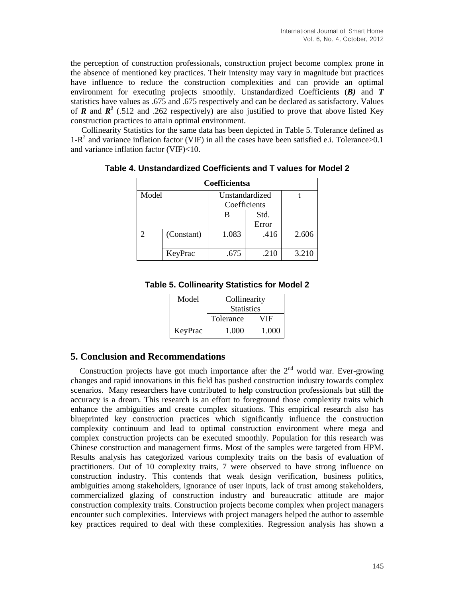the perception of construction professionals, construction project become complex prone in the absence of mentioned key practices. Their intensity may vary in magnitude but practices have influence to reduce the construction complexities and can provide an optimal environment for executing projects smoothly. Unstandardized Coefficients (*B)* and *T* statistics have values as .675 and .675 respectively and can be declared as satisfactory. Values of **R** and  $\mathbb{R}^2$  (.512 and .262 respectively) are also justified to prove that above listed Key construction practices to attain optimal environment.

Collinearity Statistics for the same data has been depicted in Table 5. Tolerance defined as  $1-R^2$  and variance inflation factor (VIF) in all the cases have been satisfied e.i. Tolerance > 0.1 and variance inflation factor (VIF)<10.

| <b>Coefficientsa</b> |            |                |       |       |  |  |
|----------------------|------------|----------------|-------|-------|--|--|
| Model                |            | Unstandardized |       |       |  |  |
|                      |            | Coefficients   |       |       |  |  |
|                      |            | В              | Std.  |       |  |  |
|                      |            |                | Error |       |  |  |
|                      | (Constant) | 1.083          | .416  | 2.606 |  |  |
|                      | KeyPrac    | .675           | .210  | 3.210 |  |  |

**Table 4. Unstandardized Coefficients and T values for Model 2**

| Model   | Collinearity      |       |  |
|---------|-------------------|-------|--|
|         | <b>Statistics</b> |       |  |
|         | Tolerance         | VIF   |  |
| KeyPrac | 1.000             | 1.000 |  |

# **5. Conclusion and Recommendations**

Construction projects have got much importance after the  $2<sup>nd</sup>$  world war. Ever-growing changes and rapid innovations in this field has pushed construction industry towards complex scenarios. Many researchers have contributed to help construction professionals but still the accuracy is a dream. This research is an effort to foreground those complexity traits which enhance the ambiguities and create complex situations. This empirical research also has blueprinted key construction practices which significantly influence the construction complexity continuum and lead to optimal construction environment where mega and complex construction projects can be executed smoothly. Population for this research was Chinese construction and management firms. Most of the samples were targeted from HPM. Results analysis has categorized various complexity traits on the basis of evaluation of practitioners. Out of 10 complexity traits, 7 were observed to have strong influence on construction industry. This contends that weak design verification, business politics, ambiguities among stakeholders, ignorance of user inputs, lack of trust among stakeholders, commercialized glazing of construction industry and bureaucratic attitude are major construction complexity traits. Construction projects become complex when project managers encounter such complexities. Interviews with project managers helped the author to assemble key practices required to deal with these complexities. Regression analysis has shown a